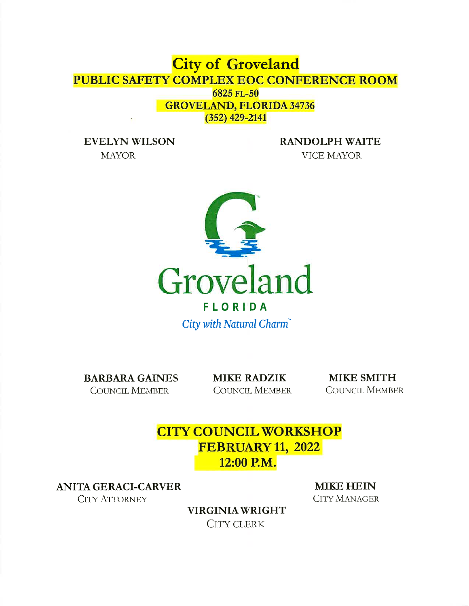# **City of Groveland** PUBLIC SAFETY COMPLEX EOC CONFERENCE ROOM 6825 FL-50 **GROVELAND, FLORIDA 34736**  $(352)$  429-2141

**EVELYN WILSON MAYOR** 

**RANDOLPH WAITE** 

VICE MAYOR



**BARBARA GAINES COUNCIL MEMBER** 

**MIKE RADZIK COUNCIL MEMBER** 

**MIKE SMITH COUNCIL MEMBER** 

**CITY COUNCIL WORKSHOP FEBRUARY 11, 2022** 12:00 P.M.

**ANITA GERACI-CARVER** 

**CITY ATTORNEY** 

**MIKE HEIN CITY MANAGER** 

**VIRGINIA WRIGHT CITY CLERK**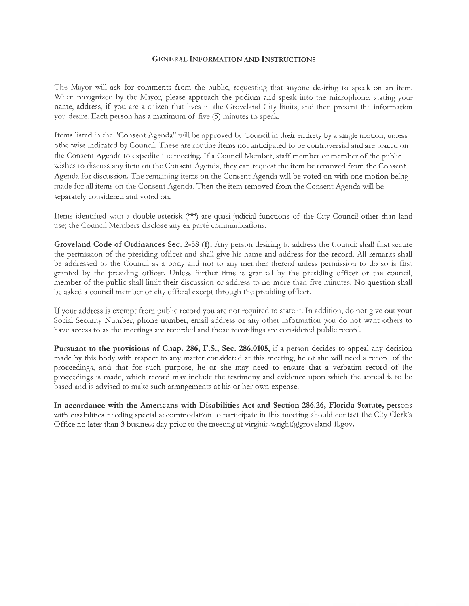#### GENERAL INFORMATION AND INSTRUCTIONS

The Mayot will ask fot comments ftom the public, tequesting that anyone desiring to speak on an item. When recognized by the Mayor, please approach the podium and speak into the microphone, stating your name, address, if you are a citizen that lives in the Groveland City limits, and then present the information you desire. Each person has a maximum of five (5) minutes to speak.

Items listed in the "Consent Agenda" will be approved by Council in their entirety by a single motion, unless otherwise indicated by Council. These ate rontine items not anticipated to be controversial and are placed on the Consent Agenda to expedite the meeting. If a Council Member, staff member or member of the public wishes to discuss any item on the Consent Agenda, they can request the item be removed from the Consent Agenda for discussion. The remaining items on the Consent Agenda will be voted on with one motion being made for all items on the Consent Agenda. Then the item temoved from the Consent Agenda will be sepatately considered and voted on.

Items identified with a double asterisk (\*\*) are quasi-judicial functions of the City Council other than land use; the Council Members disclose any ex parté communications.

Groveland Code of Ordinances Sec. 2-58 (f). Any person desiring to address the Council shall first secure the permission of the presiding officer and shall give his name and address for the record. All remarks shall be addressed to the Council as a body and not to any member thereof unless permission to do so is first gtanted by the ptesiding officer. Unless futther time is granted by the presiding officet or the council, member of the public shall limit their discussion or address to no more than five minutes. No question shall be asked a council member or city official except through the presiding officer.

If your address is exempt from public record you are not tequired to state it. In addrtion, do not give out your Social Security Number, phone number, email address or any other information you do not want others to have access to as the meetings are recorded and those recordings are considered public recotd.

Pursuant to the provisions of Chap. 286, F.S., Sec. 286.0105, if a person decides to appeal any decision made by this body with respect to any matter considered at this meeting, he or she will need a record of the proceedings, and that for sucl, purpose, he or she may need to ensure that a verbatim record of the proceedings is made, which record may include the testimony and evidence upon which the appeal is to be based and is advised to make such atrangements at his or her own expense.

In accordance with the Americans with Disabilities Act and Section 286,26, Florida Statute, persons with disabilities needing special accommodation to participate in this meeting should contact the City Clerk's Office no later than 3 business day prior to the meeting at virginia.wright@groveland-fl.gov.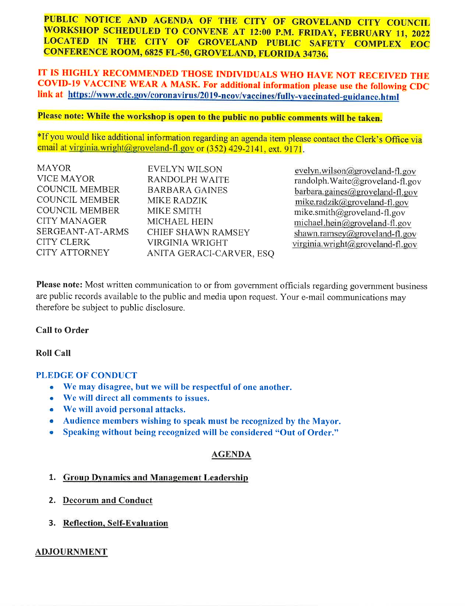PUBLIC NOTICE AND AGENDA OF THE CITY OF GROVELAND CITY COUNCIL WORKSHOP SCHEDULED TO CONVENE AT 12:00 P.M. FRIDAY, FEBRUARY 11, 2022 LOCATED IN THE CITY OF GROVELAND PUBLIC SAFETY COMPLEX EOC **CONFERENCE ROOM, 6825 FL-50, GROVELAND, FLORIDA 34736.** 

# IT IS HIGHLY RECOMMENDED THOSE INDIVIDUALS WHO HAVE NOT RECEIVED THE COVID-19 VACCINE WEAR A MASK. For additional information please use the following CDC link at https://www.cdc.gov/coronavirus/2019-ncov/vaccines/fully-vaccinated-guidance.html

# Please note: While the workshop is open to the public no public comments will be taken.

\*If you would like additional information regarding an agenda item please contact the Clerk's Office via email at virginia.wright@groveland-fl.gov or (352) 429-2141, ext. 9171.

| <b>MAYOR</b>          | <b>EVELYN WILSON</b>      |
|-----------------------|---------------------------|
| <b>VICE MAYOR</b>     | <b>RANDOLPH WAITE</b>     |
| <b>COUNCIL MEMBER</b> | <b>BARBARA GAINES</b>     |
| <b>COUNCIL MEMBER</b> | MIKE RADZIK               |
| <b>COUNCIL MEMBER</b> | <b>MIKE SMITH</b>         |
| <b>CITY MANAGER</b>   | <b>MICHAEL HEIN</b>       |
| SERGEANT-AT-ARMS      | <b>CHIEF SHAWN RAMSEY</b> |
| <b>CITY CLERK</b>     | <b>VIRGINIA WRIGHT</b>    |
| <b>CITY ATTORNEY</b>  | ANITA GERACI-CARVER, ESQ  |

evelyn.wilson@groveland-fl.gov randolph. Waite@groveland-fl.gov barbara.gaines@groveland-fl.gov mike.radzik@groveland-fl.gov mike.smith@groveland-fl.gov  $michael. hein@groveland-fl.gov$ shawn.ramsey@groveland-fl.gov virginia.wright@groveland-fl.gov

Please note: Most written communication to or from government officials regarding government business are public records available to the public and media upon request. Your e-mail communications may therefore be subject to public disclosure.

## **Call to Order**

## **Roll Call**

#### **PLEDGE OF CONDUCT**

- We may disagree, but we will be respectful of one another.  $\bullet$
- We will direct all comments to issues. ۰
- We will avoid personal attacks.
- Audience members wishing to speak must be recognized by the Mayor.
- $\bullet$ Speaking without being recognized will be considered "Out of Order."

## **AGENDA**

## 1. Group Dynamics and Management Leadership

- 2. Decorum and Conduct
- 3. Reflection, Self-Evaluation

#### **ADJOURNMENT**